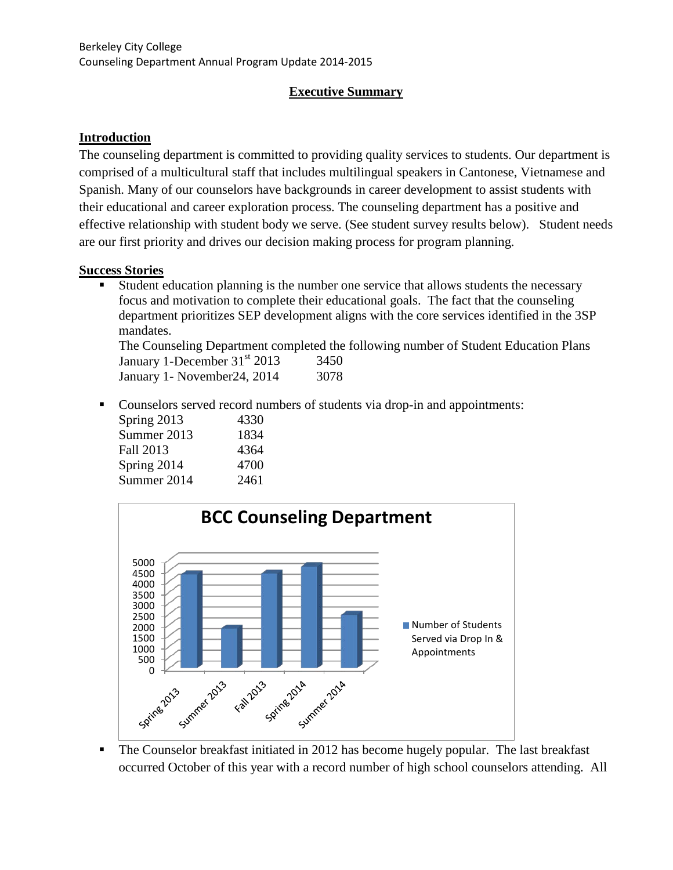#### **Executive Summary**

#### **Introduction**

The counseling department is committed to providing quality services to students. Our department is comprised of a multicultural staff that includes multilingual speakers in Cantonese, Vietnamese and Spanish. Many of our counselors have backgrounds in career development to assist students with their educational and career exploration process. The counseling department has a positive and effective relationship with student body we serve. (See student survey results below). Student needs are our first priority and drives our decision making process for program planning.

#### **Success Stories**

 Student education planning is the number one service that allows students the necessary focus and motivation to complete their educational goals. The fact that the counseling department prioritizes SEP development aligns with the core services identified in the 3SP mandates.

The Counseling Department completed the following number of Student Education Plans January 1-December  $31<sup>st</sup>$  2013  $3450$ 

January 1- November24, 2014 3078

• Counselors served record numbers of students via drop-in and appointments:

| Spring 2013 | 4330 |
|-------------|------|
| Summer 2013 | 1834 |
| Fall 2013   | 4364 |
| Spring 2014 | 4700 |
| Summer 2014 | 2461 |



• The Counselor breakfast initiated in 2012 has become hugely popular. The last breakfast occurred October of this year with a record number of high school counselors attending. All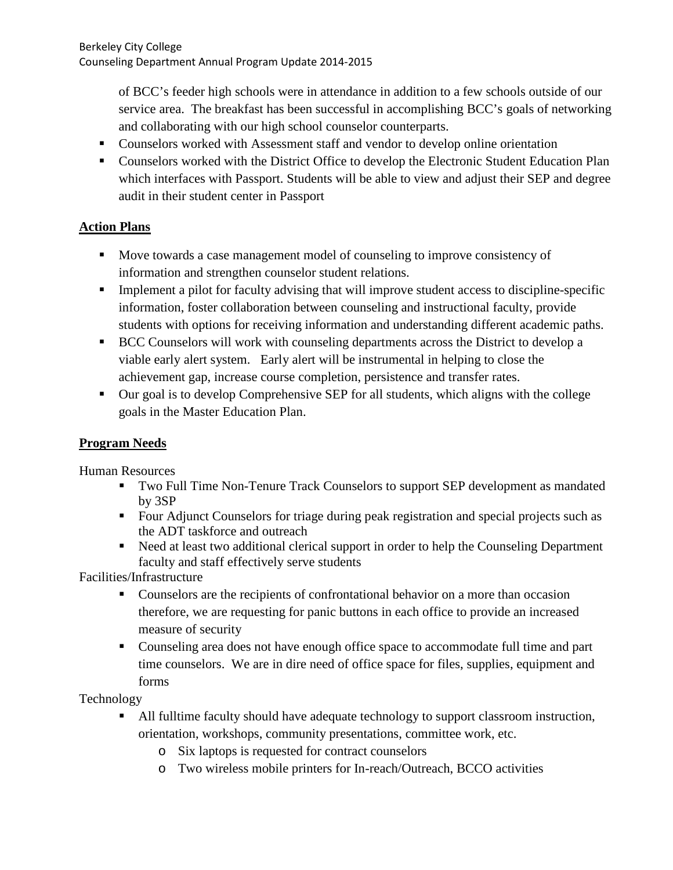of BCC's feeder high schools were in attendance in addition to a few schools outside of our service area. The breakfast has been successful in accomplishing BCC's goals of networking and collaborating with our high school counselor counterparts.

- Counselors worked with Assessment staff and vendor to develop online orientation
- Counselors worked with the District Office to develop the Electronic Student Education Plan which interfaces with Passport. Students will be able to view and adjust their SEP and degree audit in their student center in Passport

## **Action Plans**

- Move towards a case management model of counseling to improve consistency of information and strengthen counselor student relations.
- **Implement a pilot for faculty advising that will improve student access to discipline-specific** information, foster collaboration between counseling and instructional faculty, provide students with options for receiving information and understanding different academic paths.
- **BCC Counselors will work with counseling departments across the District to develop a** viable early alert system. Early alert will be instrumental in helping to close the achievement gap, increase course completion, persistence and transfer rates.
- Our goal is to develop Comprehensive SEP for all students, which aligns with the college goals in the Master Education Plan.

#### **Program Needs**

Human Resources

- Two Full Time Non-Tenure Track Counselors to support SEP development as mandated by 3SP
- Four Adjunct Counselors for triage during peak registration and special projects such as the ADT taskforce and outreach
- Need at least two additional clerical support in order to help the Counseling Department faculty and staff effectively serve students

Facilities/Infrastructure

- Counselors are the recipients of confrontational behavior on a more than occasion therefore, we are requesting for panic buttons in each office to provide an increased measure of security
- Counseling area does not have enough office space to accommodate full time and part time counselors. We are in dire need of office space for files, supplies, equipment and forms

Technology

- All fulltime faculty should have adequate technology to support classroom instruction, orientation, workshops, community presentations, committee work, etc.
	- o Six laptops is requested for contract counselors
	- o Two wireless mobile printers for In-reach/Outreach, BCCO activities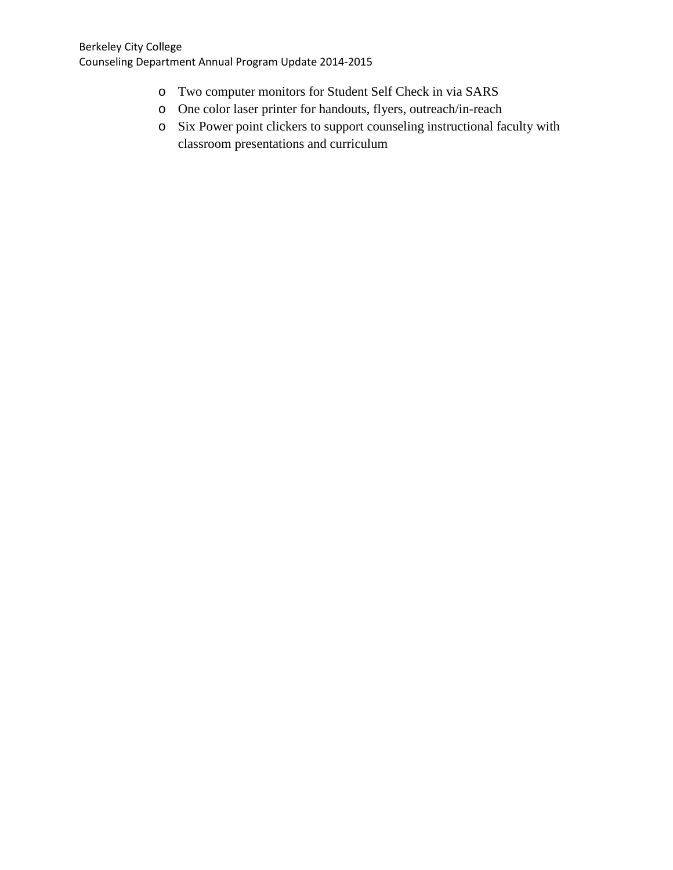- o Two computer monitors for Student Self Check in via SARS
- o One color laser printer for handouts, flyers, outreach/in-reach
- o Six Power point clickers to support counseling instructional faculty with classroom presentations and curriculum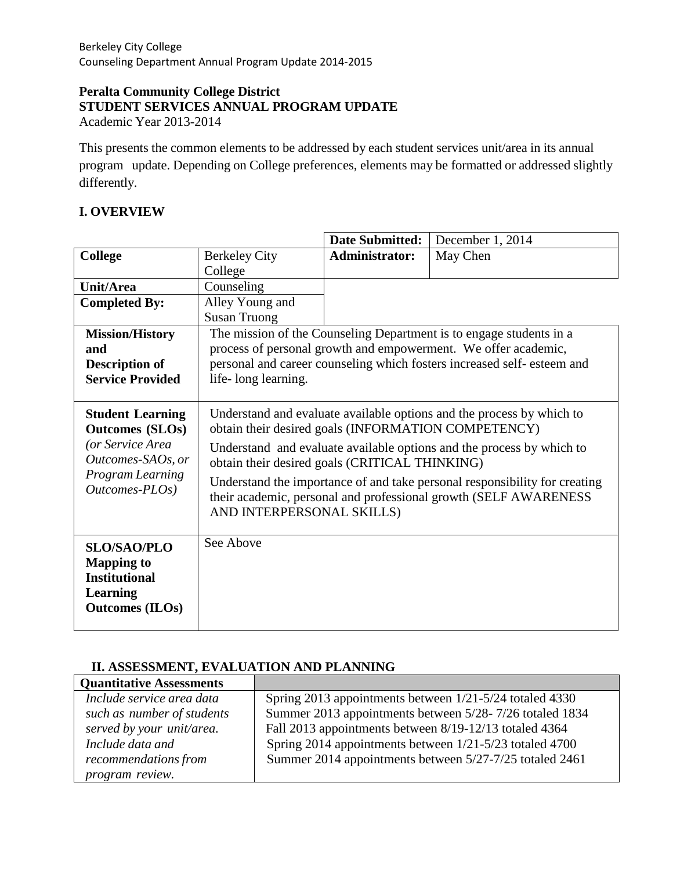#### **Peralta Community College District STUDENT SERVICES ANNUAL PROGRAM UPDATE** Academic Year 2013-2014

This presents the common elements to be addressed by each student services unit/area in its annual program update. Depending on College preferences, elements may be formatted or addressed slightly differently.

# **I. OVERVIEW**

|                                                                                                                                                                  |                                                                                                                                                                             | <b>Date Submitted:</b> | December 1, 2014                                                        |
|------------------------------------------------------------------------------------------------------------------------------------------------------------------|-----------------------------------------------------------------------------------------------------------------------------------------------------------------------------|------------------------|-------------------------------------------------------------------------|
| <b>College</b>                                                                                                                                                   | <b>Berkeley City</b>                                                                                                                                                        | <b>Administrator:</b>  | May Chen                                                                |
|                                                                                                                                                                  | College                                                                                                                                                                     |                        |                                                                         |
| <b>Unit/Area</b>                                                                                                                                                 | Counseling                                                                                                                                                                  |                        |                                                                         |
| <b>Completed By:</b>                                                                                                                                             | Alley Young and                                                                                                                                                             |                        |                                                                         |
|                                                                                                                                                                  | <b>Susan Truong</b>                                                                                                                                                         |                        |                                                                         |
| <b>Mission/History</b>                                                                                                                                           |                                                                                                                                                                             |                        | The mission of the Counseling Department is to engage students in a     |
| and                                                                                                                                                              |                                                                                                                                                                             |                        | process of personal growth and empowerment. We offer academic,          |
| <b>Description of</b>                                                                                                                                            |                                                                                                                                                                             |                        | personal and career counseling which fosters increased self- esteem and |
| <b>Service Provided</b>                                                                                                                                          | life-long learning.                                                                                                                                                         |                        |                                                                         |
|                                                                                                                                                                  |                                                                                                                                                                             |                        |                                                                         |
| <b>Student Learning</b>                                                                                                                                          | Understand and evaluate available options and the process by which to                                                                                                       |                        |                                                                         |
| <b>Outcomes (SLOs)</b>                                                                                                                                           | obtain their desired goals (INFORMATION COMPETENCY)                                                                                                                         |                        |                                                                         |
| (or Service Area<br>Understand and evaluate available options and the process by which to<br>Outcomes-SAOs, or<br>obtain their desired goals (CRITICAL THINKING) |                                                                                                                                                                             |                        |                                                                         |
| Program Learning<br>Outcomes-PLOs)                                                                                                                               | Understand the importance of and take personal responsibility for creating<br>their academic, personal and professional growth (SELF AWARENESS<br>AND INTERPERSONAL SKILLS) |                        |                                                                         |
| <b>SLO/SAO/PLO</b><br><b>Mapping to</b><br><b>Institutional</b><br>Learning<br><b>Outcomes (ILOs)</b>                                                            | See Above                                                                                                                                                                   |                        |                                                                         |

## **II. ASSESSMENT, EVALUATION AND PLANNING**

| <b>Quantitative Assessments</b> |                                                         |
|---------------------------------|---------------------------------------------------------|
| Include service area data       | Spring 2013 appointments between 1/21-5/24 totaled 4330 |
| such as number of students      | Summer 2013 appointments between 5/28-7/26 totaled 1834 |
| served by your unit/area.       | Fall 2013 appointments between 8/19-12/13 totaled 4364  |
| Include data and                | Spring 2014 appointments between 1/21-5/23 totaled 4700 |
| recommendations from            | Summer 2014 appointments between 5/27-7/25 totaled 2461 |
| program review.                 |                                                         |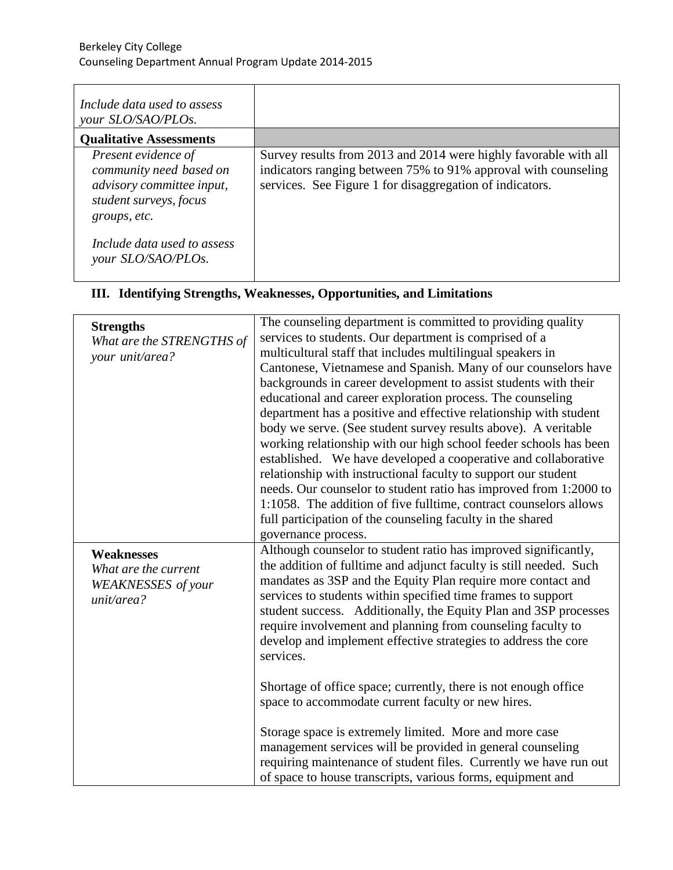| Include data used to assess<br>your SLO/SAO/PLOs.                                                                     |                                                                                                                                                                                                |
|-----------------------------------------------------------------------------------------------------------------------|------------------------------------------------------------------------------------------------------------------------------------------------------------------------------------------------|
| <b>Qualitative Assessments</b>                                                                                        |                                                                                                                                                                                                |
| Present evidence of<br>community need based on<br>advisory committee input,<br>student surveys, focus<br>groups, etc. | Survey results from 2013 and 2014 were highly favorable with all<br>indicators ranging between 75% to 91% approval with counseling<br>services. See Figure 1 for disaggregation of indicators. |
| Include data used to assess<br>your SLO/SAO/PLOs.                                                                     |                                                                                                                                                                                                |

# **III. Identifying Strengths, Weaknesses, Opportunities, and Limitations**

| <b>Strengths</b><br>What are the STRENGTHS of<br>your unit/area?                     | The counseling department is committed to providing quality<br>services to students. Our department is comprised of a<br>multicultural staff that includes multilingual speakers in<br>Cantonese, Vietnamese and Spanish. Many of our counselors have<br>backgrounds in career development to assist students with their<br>educational and career exploration process. The counseling<br>department has a positive and effective relationship with student<br>body we serve. (See student survey results above). A veritable<br>working relationship with our high school feeder schools has been<br>established. We have developed a cooperative and collaborative<br>relationship with instructional faculty to support our student<br>needs. Our counselor to student ratio has improved from 1:2000 to<br>1:1058. The addition of five fulltime, contract counselors allows<br>full participation of the counseling faculty in the shared<br>governance process. |
|--------------------------------------------------------------------------------------|-----------------------------------------------------------------------------------------------------------------------------------------------------------------------------------------------------------------------------------------------------------------------------------------------------------------------------------------------------------------------------------------------------------------------------------------------------------------------------------------------------------------------------------------------------------------------------------------------------------------------------------------------------------------------------------------------------------------------------------------------------------------------------------------------------------------------------------------------------------------------------------------------------------------------------------------------------------------------|
| <b>Weaknesses</b><br>What are the current<br><b>WEAKNESSES</b> of your<br>unit/area? | Although counselor to student ratio has improved significantly,<br>the addition of fulltime and adjunct faculty is still needed. Such<br>mandates as 3SP and the Equity Plan require more contact and<br>services to students within specified time frames to support<br>student success. Additionally, the Equity Plan and 3SP processes<br>require involvement and planning from counseling faculty to<br>develop and implement effective strategies to address the core<br>services.<br>Shortage of office space; currently, there is not enough office<br>space to accommodate current faculty or new hires.<br>Storage space is extremely limited. More and more case<br>management services will be provided in general counseling<br>requiring maintenance of student files. Currently we have run out<br>of space to house transcripts, various forms, equipment and                                                                                          |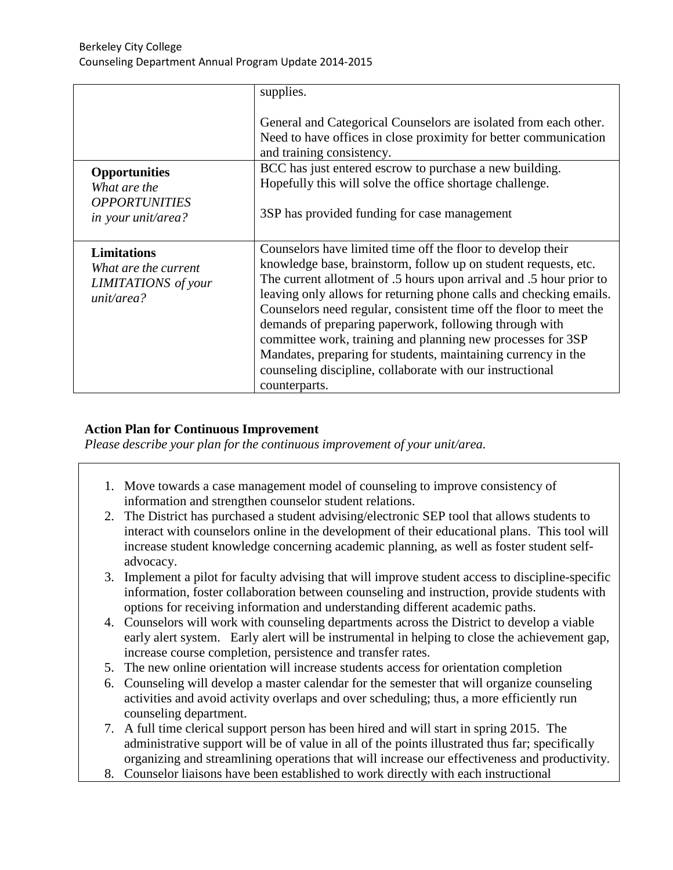|                                                                                        | supplies.                                                                                                                                                                                                                                                                                                                                                                                                                                                                                                                                                                                                                 |
|----------------------------------------------------------------------------------------|---------------------------------------------------------------------------------------------------------------------------------------------------------------------------------------------------------------------------------------------------------------------------------------------------------------------------------------------------------------------------------------------------------------------------------------------------------------------------------------------------------------------------------------------------------------------------------------------------------------------------|
|                                                                                        | General and Categorical Counselors are isolated from each other.<br>Need to have offices in close proximity for better communication<br>and training consistency.                                                                                                                                                                                                                                                                                                                                                                                                                                                         |
| <b>Opportunities</b><br>What are the<br><b>OPPORTUNITIES</b><br>in your unit/area?     | BCC has just entered escrow to purchase a new building.<br>Hopefully this will solve the office shortage challenge.<br>3SP has provided funding for case management                                                                                                                                                                                                                                                                                                                                                                                                                                                       |
| <b>Limitations</b><br>What are the current<br><b>LIMITATIONS</b> of your<br>unit/area? | Counselors have limited time off the floor to develop their<br>knowledge base, brainstorm, follow up on student requests, etc.<br>The current allotment of .5 hours upon arrival and .5 hour prior to<br>leaving only allows for returning phone calls and checking emails.<br>Counselors need regular, consistent time off the floor to meet the<br>demands of preparing paperwork, following through with<br>committee work, training and planning new processes for 3SP<br>Mandates, preparing for students, maintaining currency in the<br>counseling discipline, collaborate with our instructional<br>counterparts. |

#### **Action Plan for Continuous Improvement**

*Please describe your plan for the continuous improvement of your unit/area.*

- 1. Move towards a case management model of counseling to improve consistency of information and strengthen counselor student relations.
- 2. The District has purchased a student advising/electronic SEP tool that allows students to interact with counselors online in the development of their educational plans. This tool will increase student knowledge concerning academic planning, as well as foster student selfadvocacy.
- 3. Implement a pilot for faculty advising that will improve student access to discipline-specific information, foster collaboration between counseling and instruction, provide students with options for receiving information and understanding different academic paths.
- 4. Counselors will work with counseling departments across the District to develop a viable early alert system. Early alert will be instrumental in helping to close the achievement gap, increase course completion, persistence and transfer rates.
- 5. The new online orientation will increase students access for orientation completion
- 6. Counseling will develop a master calendar for the semester that will organize counseling activities and avoid activity overlaps and over scheduling; thus, a more efficiently run counseling department.
- 7. A full time clerical support person has been hired and will start in spring 2015. The administrative support will be of value in all of the points illustrated thus far; specifically organizing and streamlining operations that will increase our effectiveness and productivity.
- 8. Counselor liaisons have been established to work directly with each instructional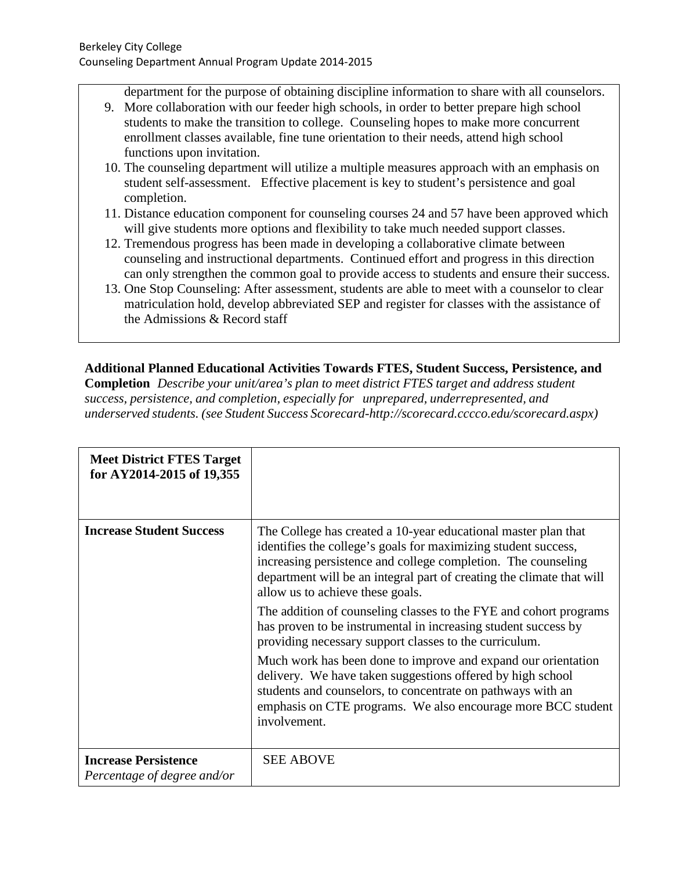department for the purpose of obtaining discipline information to share with all counselors.

- 9. More collaboration with our feeder high schools, in order to better prepare high school students to make the transition to college. Counseling hopes to make more concurrent enrollment classes available, fine tune orientation to their needs, attend high school functions upon invitation.
- 10. The counseling department will utilize a multiple measures approach with an emphasis on student self-assessment. Effective placement is key to student's persistence and goal completion.
- 11. Distance education component for counseling courses 24 and 57 have been approved which will give students more options and flexibility to take much needed support classes.
- 12. Tremendous progress has been made in developing a collaborative climate between counseling and instructional departments. Continued effort and progress in this direction can only strengthen the common goal to provide access to students and ensure their success.
- 13. One Stop Counseling: After assessment, students are able to meet with a counselor to clear matriculation hold, develop abbreviated SEP and register for classes with the assistance of the Admissions & Record staff

**Additional Planned Educational Activities Towards FTES, Student Success, Persistence, and Completion** *Describe your unit/area's plan to meet district FTES target and address student success, persistence, and completion, especially for unprepared, underrepresented, and underserved students. (see Student Success Scorecard[-http://scorecard.cccco.edu/scorecard.aspx\)](http://scorecard.cccco.edu/scorecard.aspx))*

| <b>Meet District FTES Target</b><br>for AY2014-2015 of 19,355 |                                                                                                                                                                                                                                                                                                                |
|---------------------------------------------------------------|----------------------------------------------------------------------------------------------------------------------------------------------------------------------------------------------------------------------------------------------------------------------------------------------------------------|
| <b>Increase Student Success</b>                               | The College has created a 10-year educational master plan that<br>identifies the college's goals for maximizing student success,<br>increasing persistence and college completion. The counseling<br>department will be an integral part of creating the climate that will<br>allow us to achieve these goals. |
|                                                               | The addition of counseling classes to the FYE and cohort programs<br>has proven to be instrumental in increasing student success by<br>providing necessary support classes to the curriculum.                                                                                                                  |
|                                                               | Much work has been done to improve and expand our orientation<br>delivery. We have taken suggestions offered by high school<br>students and counselors, to concentrate on pathways with an<br>emphasis on CTE programs. We also encourage more BCC student<br>involvement.                                     |
| <b>Increase Persistence</b><br>Percentage of degree and/or    | <b>SEE ABOVE</b>                                                                                                                                                                                                                                                                                               |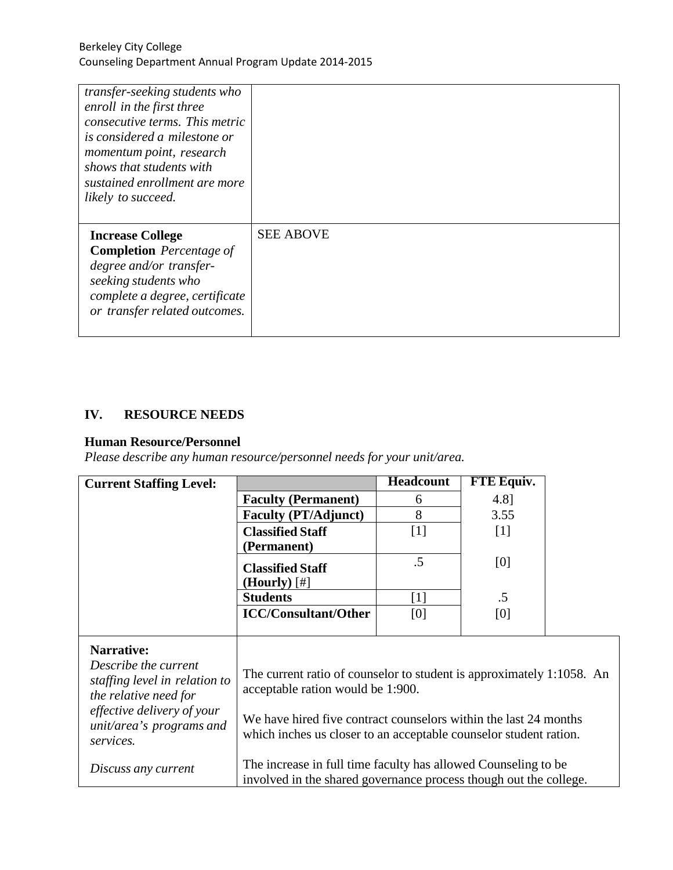| transfer-seeking students who<br>enroll in the first three<br>consecutive terms. This metric<br>is considered a milestone or<br>momentum point, research<br>shows that students with<br>sustained enrollment are more<br>likely to succeed. |                  |
|---------------------------------------------------------------------------------------------------------------------------------------------------------------------------------------------------------------------------------------------|------------------|
| <b>Increase College</b><br><b>Completion</b> Percentage of<br>degree and/or transfer-<br>seeking students who<br>complete a degree, certificate<br>or transfer related outcomes.                                                            | <b>SEE ABOVE</b> |

# **IV. RESOURCE NEEDS**

### **Human Resource/Personnel**

*Please describe any human resource/personnel needs for your unit/area.*

| <b>Current Staffing Level:</b>                                                 |                                                                                                                                       | <b>Headcount</b> | <b>FTE Equiv.</b> |  |
|--------------------------------------------------------------------------------|---------------------------------------------------------------------------------------------------------------------------------------|------------------|-------------------|--|
|                                                                                | <b>Faculty (Permanent)</b>                                                                                                            | 6                | 4.8]              |  |
|                                                                                | <b>Faculty (PT/Adjunct)</b>                                                                                                           | 8                | 3.55              |  |
|                                                                                | <b>Classified Staff</b>                                                                                                               | $[1]$            | $[1]$             |  |
|                                                                                | (Permanent)                                                                                                                           |                  |                   |  |
|                                                                                | <b>Classified Staff</b>                                                                                                               | $.5\,$           | [0]               |  |
|                                                                                | $(Hourly)$ [#]                                                                                                                        |                  |                   |  |
|                                                                                | <b>Students</b>                                                                                                                       | $[1]$            | $.5\,$            |  |
|                                                                                | <b>ICC/Consultant/Other</b>                                                                                                           | [0]              | [0]               |  |
|                                                                                |                                                                                                                                       |                  |                   |  |
| Narrative:                                                                     |                                                                                                                                       |                  |                   |  |
| Describe the current<br>staffing level in relation to<br>the relative need for | The current ratio of counselor to student is approximately 1:1058. An<br>acceptable ration would be 1:900.                            |                  |                   |  |
| effective delivery of your<br>unit/area's programs and<br>services.            | We have hired five contract counselors within the last 24 months<br>which inches us closer to an acceptable counselor student ration. |                  |                   |  |
| Discuss any current                                                            | The increase in full time faculty has allowed Counseling to be<br>involved in the shared governance process though out the college.   |                  |                   |  |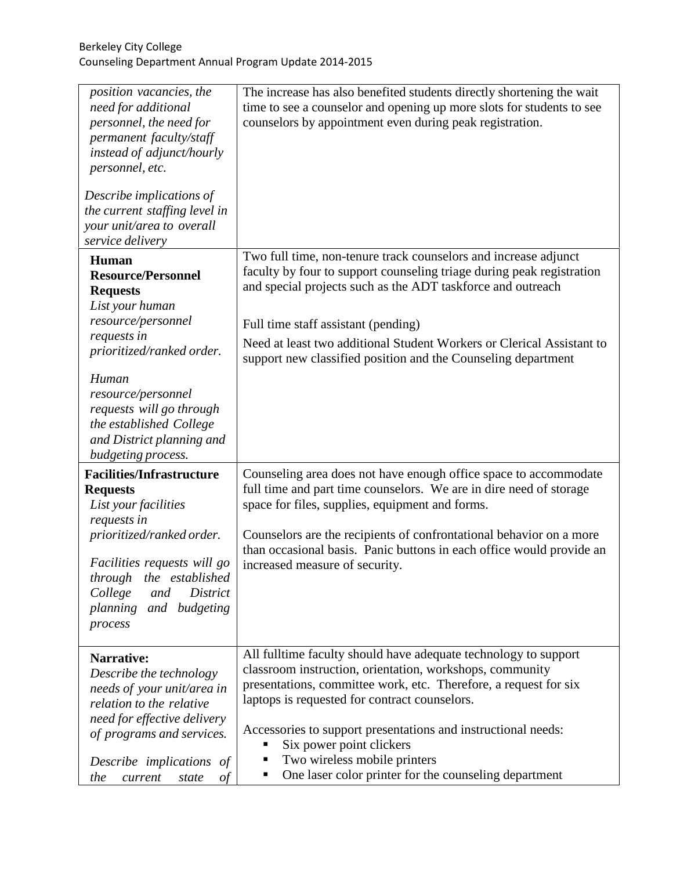| position vacancies, the<br>need for additional<br>personnel, the need for<br>permanent faculty/staff<br>instead of adjunct/hourly<br>personnel, etc.<br>Describe implications of<br>the current staffing level in<br>your unit/area to overall                                             | The increase has also benefited students directly shortening the wait<br>time to see a counselor and opening up more slots for students to see<br>counselors by appointment even during peak registration.                                                                                                                                                                                                                                  |
|--------------------------------------------------------------------------------------------------------------------------------------------------------------------------------------------------------------------------------------------------------------------------------------------|---------------------------------------------------------------------------------------------------------------------------------------------------------------------------------------------------------------------------------------------------------------------------------------------------------------------------------------------------------------------------------------------------------------------------------------------|
| service delivery                                                                                                                                                                                                                                                                           |                                                                                                                                                                                                                                                                                                                                                                                                                                             |
| <b>Human</b><br><b>Resource/Personnel</b><br><b>Requests</b><br>List your human<br>resource/personnel<br>requests in<br>prioritized/ranked order.<br>Human<br>resource/personnel<br>requests will go through<br>the established College<br>and District planning and<br>budgeting process. | Two full time, non-tenure track counselors and increase adjunct<br>faculty by four to support counseling triage during peak registration<br>and special projects such as the ADT taskforce and outreach<br>Full time staff assistant (pending)<br>Need at least two additional Student Workers or Clerical Assistant to<br>support new classified position and the Counseling department                                                    |
| <b>Facilities/Infrastructure</b><br><b>Requests</b><br>List your facilities<br>requests in<br>prioritized/ranked order.<br>Facilities requests will go<br>through<br>the established<br><b>District</b><br>College<br>and<br>planning and budgeting<br>process                             | Counseling area does not have enough office space to accommodate<br>full time and part time counselors. We are in dire need of storage<br>space for files, supplies, equipment and forms.<br>Counselors are the recipients of confrontational behavior on a more<br>than occasional basis. Panic buttons in each office would provide an<br>increased measure of security.                                                                  |
| <b>Narrative:</b><br>Describe the technology<br>needs of your unit/area in<br>relation to the relative<br>need for effective delivery<br>of programs and services.<br>Describe implications of<br>the<br>current<br>state<br>οf                                                            | All fulltime faculty should have adequate technology to support<br>classroom instruction, orientation, workshops, community<br>presentations, committee work, etc. Therefore, a request for six<br>laptops is requested for contract counselors.<br>Accessories to support presentations and instructional needs:<br>Six power point clickers<br>Two wireless mobile printers<br>One laser color printer for the counseling department<br>п |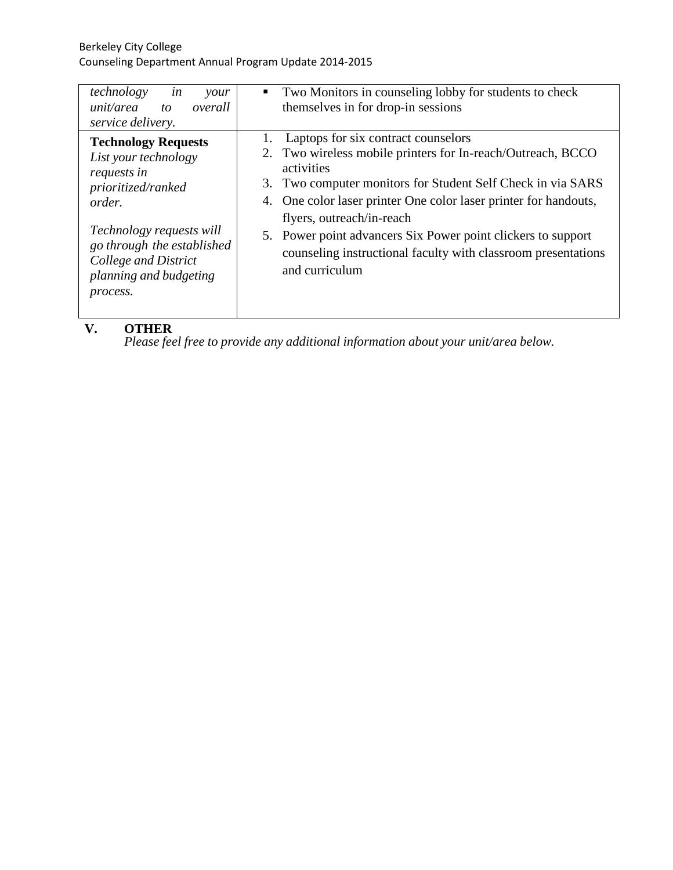| technology<br>in<br>your<br>unit/area<br>overall<br>to<br>service delivery.                                                                                                                                                      | Two Monitors in counseling lobby for students to check<br>$\blacksquare$<br>themselves in for drop-in sessions                                                                                                                                                                                                                                                                                                                      |
|----------------------------------------------------------------------------------------------------------------------------------------------------------------------------------------------------------------------------------|-------------------------------------------------------------------------------------------------------------------------------------------------------------------------------------------------------------------------------------------------------------------------------------------------------------------------------------------------------------------------------------------------------------------------------------|
| <b>Technology Requests</b><br>List your technology<br>requests in<br>prioritized/ranked<br><i>order.</i><br>Technology requests will<br>go through the established<br>College and District<br>planning and budgeting<br>process. | Laptops for six contract counselors<br>2. Two wireless mobile printers for In-reach/Outreach, BCCO<br>activities<br>3. Two computer monitors for Student Self Check in via SARS<br>4. One color laser printer One color laser printer for handouts,<br>flyers, outreach/in-reach<br>5. Power point advancers Six Power point clickers to support<br>counseling instructional faculty with classroom presentations<br>and curriculum |
|                                                                                                                                                                                                                                  |                                                                                                                                                                                                                                                                                                                                                                                                                                     |

## **V. OTHER**

*Please feel free to provide any additional information about your unit/area below.*